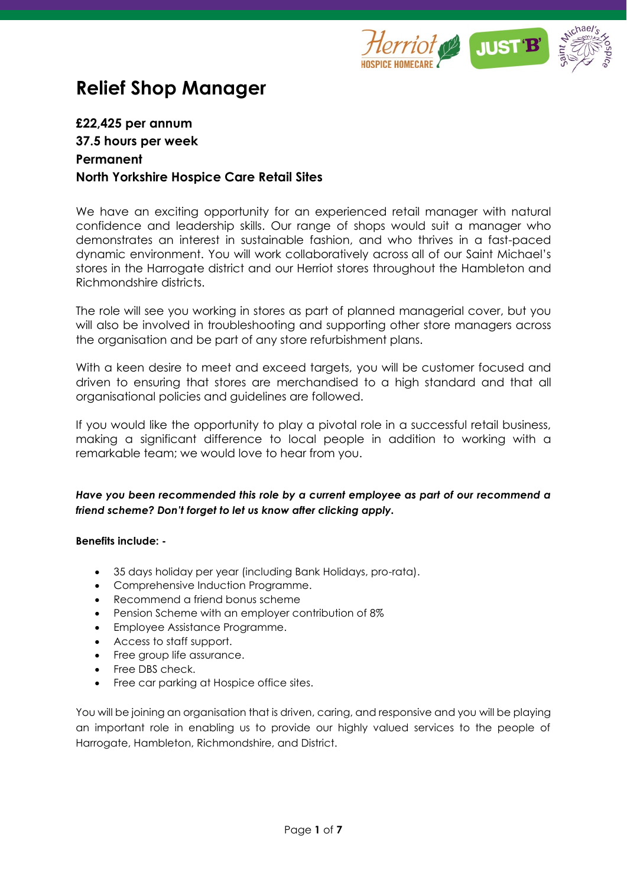

# **Relief Shop Manager**

## **£22,425 per annum 37.5 hours per week Permanent North Yorkshire Hospice Care Retail Sites**

We have an exciting opportunity for an experienced retail manager with natural confidence and leadership skills. Our range of shops would suit a manager who demonstrates an interest in sustainable fashion, and who thrives in a fast-paced dynamic environment. You will work collaboratively across all of our Saint Michael's stores in the Harrogate district and our Herriot stores throughout the Hambleton and Richmondshire districts.

The role will see you working in stores as part of planned managerial cover, but you will also be involved in troubleshooting and supporting other store managers across the organisation and be part of any store refurbishment plans.

With a keen desire to meet and exceed targets, you will be customer focused and driven to ensuring that stores are merchandised to a high standard and that all organisational policies and guidelines are followed.

If you would like the opportunity to play a pivotal role in a successful retail business, making a significant difference to local people in addition to working with a remarkable team; we would love to hear from you.

## *Have you been recommended this role by a current employee as part of our recommend a friend scheme? Don't forget to let us know after clicking apply.*

#### **Benefits include: -**

- 35 days holiday per year (including Bank Holidays, pro-rata).
- Comprehensive Induction Programme.
- Recommend a friend bonus scheme
- Pension Scheme with an employer contribution of 8%
- Employee Assistance Programme.
- Access to staff support.
- Free group life assurance.
- Free DBS check.
- Free car parking at Hospice office sites.

You will be joining an organisation that is driven, caring, and responsive and you will be playing an important role in enabling us to provide our highly valued services to the people of Harrogate, Hambleton, Richmondshire, and District.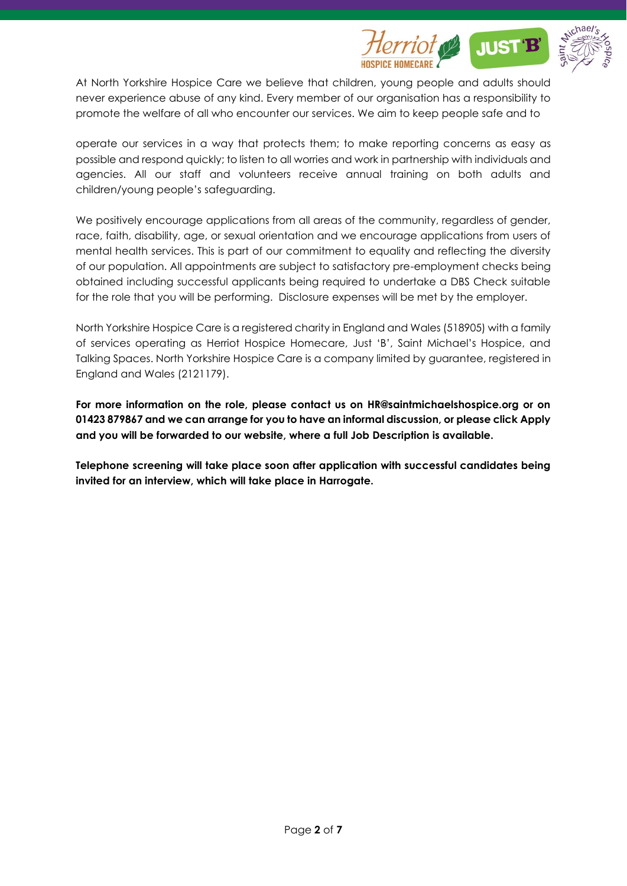

At North Yorkshire Hospice Care we believe that children, young people and adults should never experience abuse of any kind. Every member of our organisation has a responsibility to promote the welfare of all who encounter our services. We aim to keep people safe and to

operate our services in a way that protects them; to make reporting concerns as easy as possible and respond quickly; to listen to all worries and work in partnership with individuals and agencies. All our staff and volunteers receive annual training on both adults and children/young people's safeguarding.

We positively encourage applications from all areas of the community, regardless of gender, race, faith, disability, age, or sexual orientation and we encourage applications from users of mental health services. This is part of our commitment to equality and reflecting the diversity of our population. All appointments are subject to satisfactory pre-employment checks being obtained including successful applicants being required to undertake a DBS Check suitable for the role that you will be performing. Disclosure expenses will be met by the employer.

North Yorkshire Hospice Care is a registered charity in England and Wales (518905) with a family of services operating as Herriot Hospice Homecare, Just 'B', Saint Michael's Hospice, and Talking Spaces. North Yorkshire Hospice Care is a company limited by guarantee, registered in England and Wales (2121179).

**For more information on the role, please contact us on HR@saintmichaelshospice.org or on 01423 879867 and we can arrange for you to have an informal discussion, or please click Apply and you will be forwarded to our website, where a full Job Description is available.** 

**Telephone screening will take place soon after application with successful candidates being invited for an interview, which will take place in Harrogate.**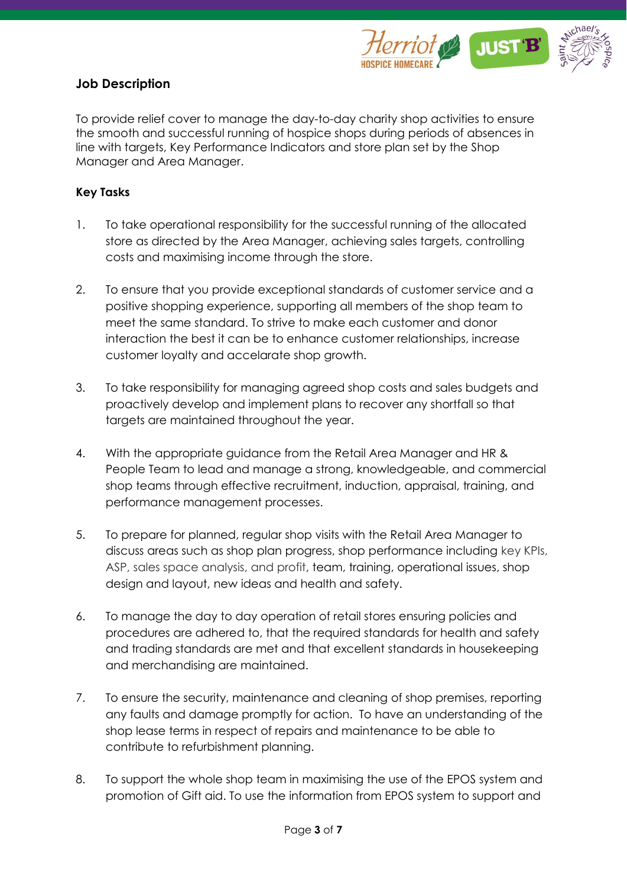

## **Job Description**

To provide relief cover to manage the day-to-day charity shop activities to ensure the smooth and successful running of hospice shops during periods of absences in line with targets, Key Performance Indicators and store plan set by the Shop Manager and Area Manager.

### **Key Tasks**

- 1. To take operational responsibility for the successful running of the allocated store as directed by the Area Manager, achieving sales targets, controlling costs and maximising income through the store.
- 2. To ensure that you provide exceptional standards of customer service and a positive shopping experience, supporting all members of the shop team to meet the same standard. To strive to make each customer and donor interaction the best it can be to enhance customer relationships, increase customer loyalty and accelarate shop growth.
- 3. To take responsibility for managing agreed shop costs and sales budgets and proactively develop and implement plans to recover any shortfall so that targets are maintained throughout the year.
- 4. With the appropriate guidance from the Retail Area Manager and HR & People Team to lead and manage a strong, knowledgeable, and commercial shop teams through effective recruitment, induction, appraisal, training, and performance management processes.
- 5. To prepare for planned, regular shop visits with the Retail Area Manager to discuss areas such as shop plan progress, shop performance including key KPIs, ASP, sales space analysis, and profit, team, training, operational issues, shop design and layout, new ideas and health and safety.
- 6. To manage the day to day operation of retail stores ensuring policies and procedures are adhered to, that the required standards for health and safety and trading standards are met and that excellent standards in housekeeping and merchandising are maintained.
- 7. To ensure the security, maintenance and cleaning of shop premises, reporting any faults and damage promptly for action. To have an understanding of the shop lease terms in respect of repairs and maintenance to be able to contribute to refurbishment planning.
- 8. To support the whole shop team in maximising the use of the EPOS system and promotion of Gift aid. To use the information from EPOS system to support and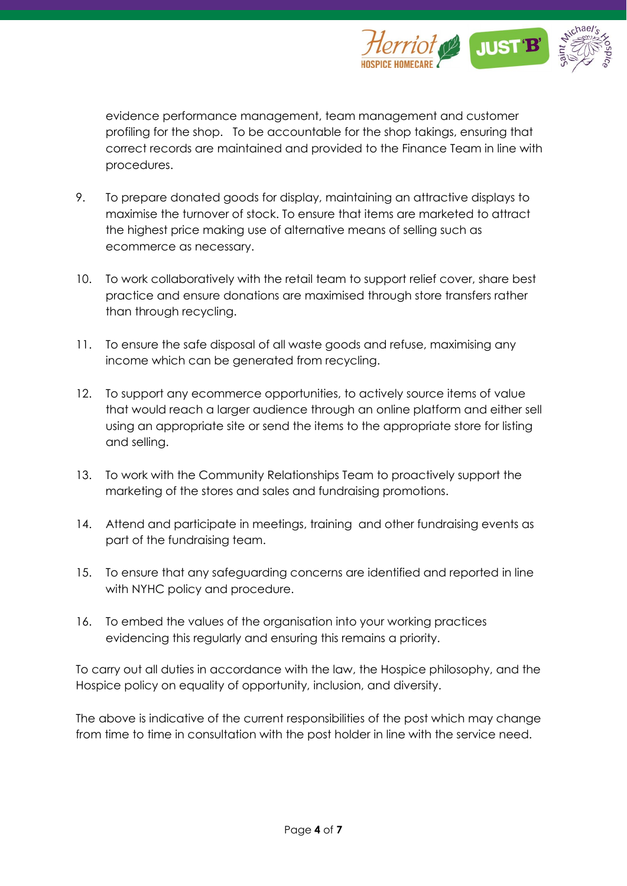

evidence performance management, team management and customer profiling for the shop. To be accountable for the shop takings, ensuring that correct records are maintained and provided to the Finance Team in line with procedures.

- 9. To prepare donated goods for display, maintaining an attractive displays to maximise the turnover of stock. To ensure that items are marketed to attract the highest price making use of alternative means of selling such as ecommerce as necessary.
- 10. To work collaboratively with the retail team to support relief cover, share best practice and ensure donations are maximised through store transfers rather than through recycling.
- 11. To ensure the safe disposal of all waste goods and refuse, maximising any income which can be generated from recycling.
- 12. To support any ecommerce opportunities, to actively source items of value that would reach a larger audience through an online platform and either sell using an appropriate site or send the items to the appropriate store for listing and selling.
- 13. To work with the Community Relationships Team to proactively support the marketing of the stores and sales and fundraising promotions.
- 14. Attend and participate in meetings, training and other fundraising events as part of the fundraising team.
- 15. To ensure that any safeguarding concerns are identified and reported in line with NYHC policy and procedure.
- 16. To embed the values of the organisation into your working practices evidencing this regularly and ensuring this remains a priority.

To carry out all duties in accordance with the law, the Hospice philosophy, and the Hospice policy on equality of opportunity, inclusion, and diversity.

The above is indicative of the current responsibilities of the post which may change from time to time in consultation with the post holder in line with the service need.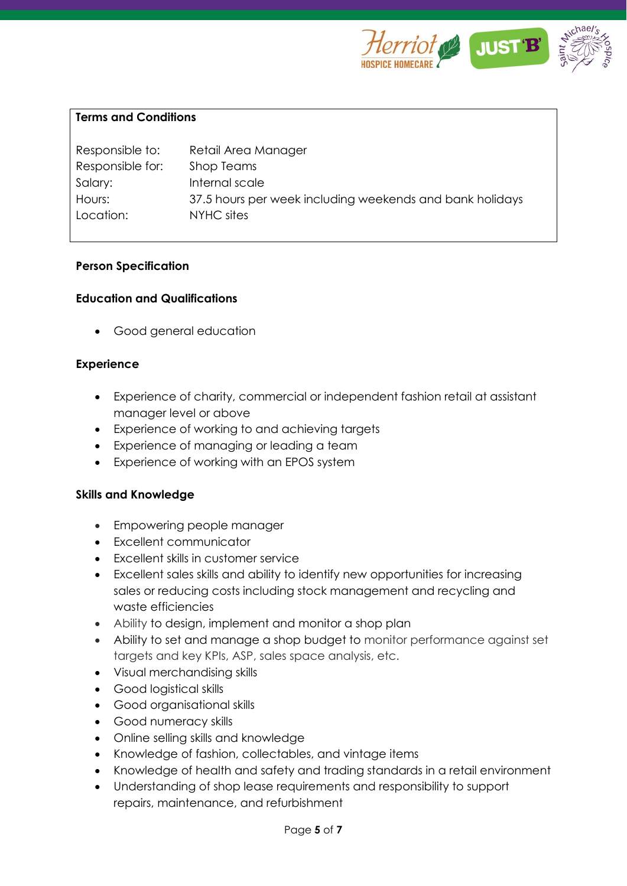

#### **Terms and Conditions**

| Responsible to:  | Retail Area Manager                                      |
|------------------|----------------------------------------------------------|
| Responsible for: | Shop Teams                                               |
| Salary:          | Internal scale                                           |
| Hours:           | 37.5 hours per week including weekends and bank holidays |
| Location:        | NYHC sites                                               |
|                  |                                                          |

#### **Person Specification**

#### **Education and Qualifications**

• Good general education

#### **Experience**

- Experience of charity, commercial or independent fashion retail at assistant manager level or above
- Experience of working to and achieving targets
- Experience of managing or leading a team
- Experience of working with an EPOS system

#### **Skills and Knowledge**

- Empowering people manager
- Excellent communicator
- Excellent skills in customer service
- Excellent sales skills and ability to identify new opportunities for increasing sales or reducing costs including stock management and recycling and waste efficiencies
- Ability to design, implement and monitor a shop plan
- Ability to set and manage a shop budget to monitor performance against set targets and key KPIs, ASP, sales space analysis, etc.
- Visual merchandising skills
- Good logistical skills
- Good organisational skills
- Good numeracy skills
- Online selling skills and knowledge
- Knowledge of fashion, collectables, and vintage items
- Knowledge of health and safety and trading standards in a retail environment
- Understanding of shop lease requirements and responsibility to support repairs, maintenance, and refurbishment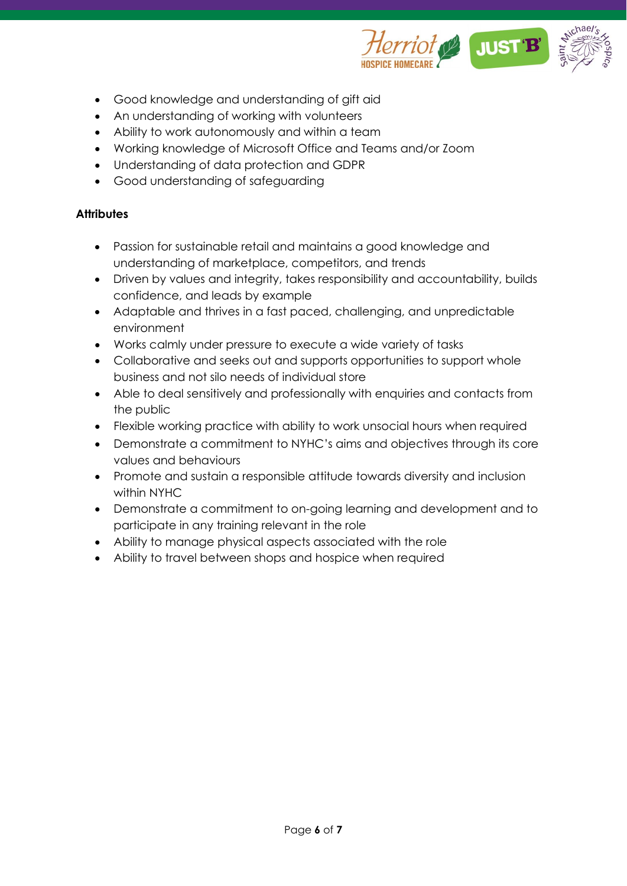

- Good knowledge and understanding of gift aid
- An understanding of working with volunteers
- Ability to work autonomously and within a team
- Working knowledge of Microsoft Office and Teams and/or Zoom
- Understanding of data protection and GDPR
- Good understanding of safeguarding

## **Attributes**

- Passion for sustainable retail and maintains a good knowledge and understanding of marketplace, competitors, and trends
- Driven by values and integrity, takes responsibility and accountability, builds confidence, and leads by example
- Adaptable and thrives in a fast paced, challenging, and unpredictable environment
- Works calmly under pressure to execute a wide variety of tasks
- Collaborative and seeks out and supports opportunities to support whole business and not silo needs of individual store
- Able to deal sensitively and professionally with enquiries and contacts from the public
- Flexible working practice with ability to work unsocial hours when required
- Demonstrate a commitment to NYHC's aims and objectives through its core values and behaviours
- Promote and sustain a responsible attitude towards diversity and inclusion within NYHC
- Demonstrate a commitment to on-going learning and development and to participate in any training relevant in the role
- Ability to manage physical aspects associated with the role
- Ability to travel between shops and hospice when required